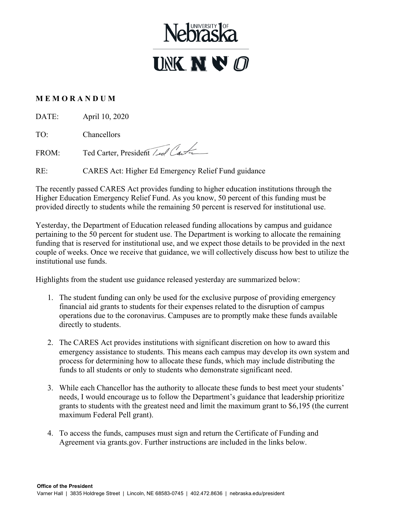

## **M E M O R A N D U M**

DATE: April 10, 2020

TO: Chancellors

FROM: Ted Carter, President / Lel Carter

RE: CARES Act: Higher Ed Emergency Relief Fund guidance

The recently passed CARES Act provides funding to higher education institutions through the Higher Education Emergency Relief Fund. As you know, 50 percent of this funding must be provided directly to students while the remaining 50 percent is reserved for institutional use.

Yesterday, the Department of Education released funding allocations by campus and guidance pertaining to the 50 percent for student use. The Department is working to allocate the remaining funding that is reserved for institutional use, and we expect those details to be provided in the next couple of weeks. Once we receive that guidance, we will collectively discuss how best to utilize the institutional use funds.

Highlights from the student use guidance released yesterday are summarized below:

- 1. The student funding can only be used for the exclusive purpose of providing emergency financial aid grants to students for their expenses related to the disruption of campus operations due to the coronavirus. Campuses are to promptly make these funds available directly to students.
- 2. The CARES Act provides institutions with significant discretion on how to award this emergency assistance to students. This means each campus may develop its own system and process for determining how to allocate these funds, which may include distributing the funds to all students or only to students who demonstrate significant need.
- 3. While each Chancellor has the authority to allocate these funds to best meet your students' needs, I would encourage us to follow the Department's guidance that leadership prioritize grants to students with the greatest need and limit the maximum grant to \$6,195 (the current maximum Federal Pell grant).
- 4. To access the funds, campuses must sign and return the Certificate of Funding and Agreement via grants.gov. Further instructions are included in the links below.